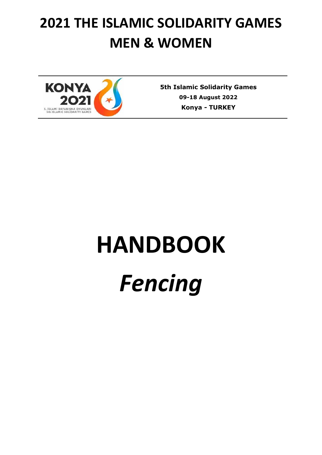# **2021 THE ISLAMIC SOLIDARITY GAMES MEN & WOMEN**



**5th Islamic Solidarity Games 09-18 August 2022 Konya** *-* **TURKEY**

# **HANDBOOK** *Fencing*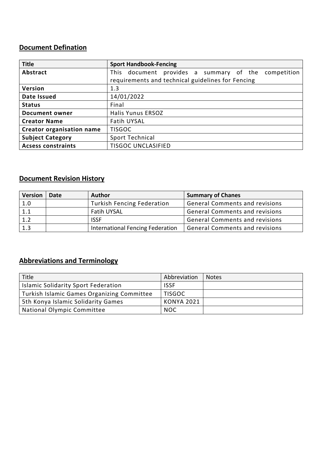### **Document Defination**

| <b>Title</b>                     | <b>Sport Handbook-Fencing</b>                          |  |  |
|----------------------------------|--------------------------------------------------------|--|--|
| Abstract                         | This document provides a summary of the<br>competition |  |  |
|                                  | requirements and technical guidelines for Fencing      |  |  |
| Version                          | 1.3                                                    |  |  |
| Date Issued                      | 14/01/2022                                             |  |  |
| <b>Status</b>                    | Final                                                  |  |  |
| <b>Document owner</b>            | <b>Halis Yunus ERSOZ</b>                               |  |  |
| <b>Creator Name</b>              | <b>Fatih UYSAL</b>                                     |  |  |
| <b>Creator organisation name</b> | <b>TISGOC</b>                                          |  |  |
| <b>Subject Category</b>          | Sport Technical                                        |  |  |
| <b>Acsess constraints</b>        | <b>TISGOC UNCLASIFIED</b>                              |  |  |

#### **Document Revision History**

| <b>Version</b> | Date | <b>Author</b>                     | <b>Summary of Chanes</b>              |
|----------------|------|-----------------------------------|---------------------------------------|
| 1.0            |      | <b>Turkish Fencing Federation</b> | <b>General Comments and revisions</b> |
| 1.1            |      | <b>Fatih UYSAL</b>                | <b>General Comments and revisions</b> |
| 1.2            |      | <b>ISSF</b>                       | <b>General Comments and revisions</b> |
| 1.3            |      | International Fencing Federation  | <b>General Comments and revisions</b> |

## **Abbreviations and Terminology**

| Title                                      | Abbreviation  | <b>Notes</b> |
|--------------------------------------------|---------------|--------------|
| Islamic Solidarity Sport Federation        | <b>ISSF</b>   |              |
| Turkish Islamic Games Organizing Committee | <b>TISGOC</b> |              |
| 5th Konya Islamic Solidarity Games         | KONYA 2021    |              |
| National Olympic Committee                 | <b>NOC</b>    |              |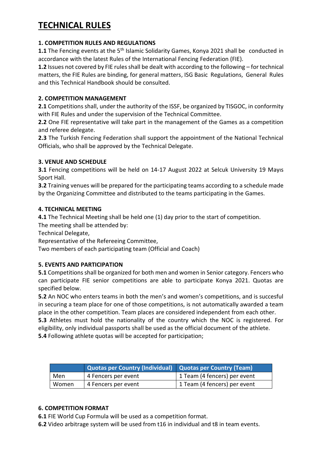# **TECHNICAL RULES**

#### **1. COMPETITION RULES AND REGULATIONS**

**1.1** The Fencing events at the 5<sup>th</sup> Islamic Solidarity Games, Konya 2021 shall be conducted in accordance with the latest Rules of the International Fencing Federation (FIE).

**1.2** Issues not covered by FIE rules shall be dealt with according to the following – for technical matters, the FIE Rules are binding, for general matters, ISG Basic Regulations, General Rules and this Technical Handbook should be consulted.

#### **2. COMPETITION MANAGEMENT**

**2.1** Competitions shall, under the authority of the ISSF, be organized by TISGOC, in conformity with FIE Rules and under the supervision of the Technical Committee.

**2.2** One FIE representative will take part in the management of the Games as a competition and referee delegate.

**2.3** The Turkish Fencing Federation shall support the appointment of the National Technical Officials, who shall be approved by the Technical Delegate.

#### **3. VENUE AND SCHEDULE**

**3.1** Fencing competitions will be held on 14-17 August 2022 at Selcuk University 19 Mayıs Sport Hall.

**3.2** Training venues will be prepared for the participating teams according to a schedule made by the Organizing Committee and distributed to the teams participating in the Games.

#### **4. TECHNICAL MEETING**

**4.1** The Technical Meeting shall be held one (1) day prior to the start of competition.

The meeting shall be attended by:

Technical Delegate,

Representative of the Refereeing Committee,

Two members of each participating team (Official and Coach)

#### **5. EVENTS AND PARTICIPATION**

**5.1** Competitions shall be organized for both men and women in Senior category. Fencers who can participate FIE senior competitions are able to participate Konya 2021. Quotas are specified below.

**5.2** An NOC who enters teams in both the men's and women's competitions, and is succesful in securing a team place for one of those competitions, is not automatically awarded a team place in the other competition. Team places are considered independent from each other. **5.3** Athletes must hold the nationality of the country which the NOC is registered. For eligibility, only individual passports shall be used as the official document of the athlete. **5.4** Following athlete quotas will be accepted for participation;

|       | Quotas per Country (Individual) Quotas per Country (Team) |                              |
|-------|-----------------------------------------------------------|------------------------------|
| Men   | 4 Fencers per event                                       | 1 Team (4 fencers) per event |
| Women | 4 Fencers per event                                       | 1 Team (4 fencers) per event |

#### **6. COMPETITION FORMAT**

**6.1** FIE World Cup Formula will be used as a competition format.

**6.2** Video arbitrage system will be used from t16 in individual and t8 in team events.